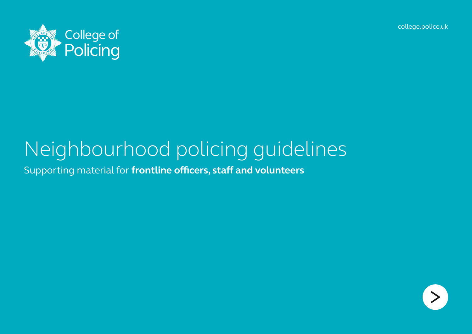[college.police.uk](http://www.college.police.uk/Pages/Home.aspx)



# Neighbourhood policing guidelines

Supporting material for **frontline officers, staff and volunteers**

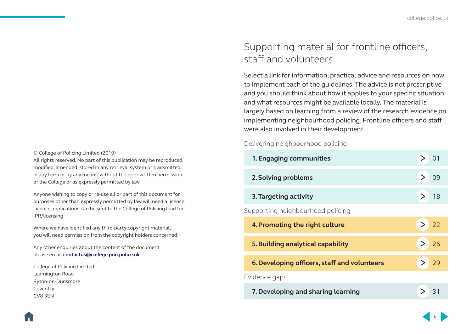#### © College of Policing Limited (2019)

All rights reserved. No part of this publication may be reproduced, modified, amended, stored in any retrieval system or transmitted, in any form or by any means, without the prior written permission of the College or as expressly permitted by law.

Anyone wishing to copy or re-use all or part of this document for purposes other than expressly permitted by law will need a licence. Licence applications can be sent to the College of Policing lead for IPR/licensing.

Where we have identified any third-party copyright material, you will need permission from the copyright holders concerned.

Any other enquiries about the content of the document please email **[contactus@college.pnn.police.uk](mailto:contactus%40college.pnn.police.uk?subject=Neighbourhood%20policing%20guidance)**

College of Policing Limited Leamington Road Ryton-on-Dunsmore Coventry CV8 3EN

### Supporting material for frontline officers, staff and volunteers

Select a link for information, practical advice and resources on how to implement each of the guidelines. The advice is not prescriptive and you should think about how it applies to your specific situation and what resources might be available locally. The material is largely based on learning from a review of the research evidence on implementing neighbourhood policing. Frontline officers and staff were also involved in their development.

Delivering neighbourhood policing

| 1. Engaging communities                      |                |
|----------------------------------------------|----------------|
| 2. Solving problems                          | O <sub>9</sub> |
| 3. Targeting activity                        | $\geq$<br>18   |
| Supporting neighbourhood policing            |                |
| 4. Promoting the right culture               | > 22           |
| 5. Building analytical capability            | > 26           |
|                                              |                |
| 6. Developing officers, staff and volunteers | > 29           |
| Evidence gaps                                |                |

**ii**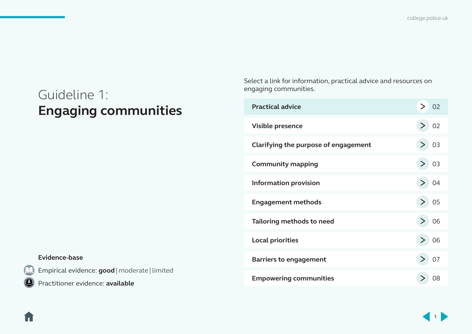[college.police.uk](http://www.college.police.uk/Pages/Home.aspx)

## <span id="page-2-0"></span>Guideline 1: **Engaging communities**

Select a link for information, practical advice and resources on engaging communities.

| <b>Practical advice</b>              | > 02 |
|--------------------------------------|------|
| Visible presence                     | > 02 |
| Clarifying the purpose of engagement | > 03 |
| <b>Community mapping</b>             | > 03 |
| <b>Information provision</b>         | > 04 |
| <b>Engagement methods</b>            | > 05 |
| Tailoring methods to need            | > 06 |
| <b>Local priorities</b>              | > 06 |
| <b>Barriers to engagement</b>        | 07   |
| <b>Empowering communities</b>        |      |

#### **Evidence-base**

17

Empirical evidence: **good** | moderate | limited

Practitioner evidence: **available**

**1**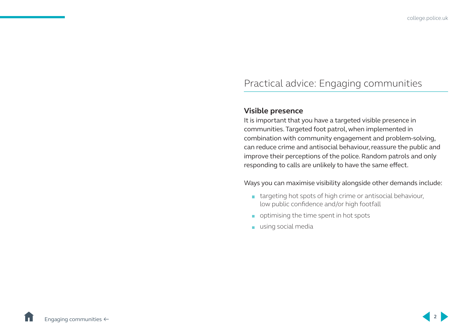### <span id="page-3-0"></span>Practical advice: Engaging communities

### **Visible presence**

It is important that you have a targeted visible presence in communities. Targeted foot patrol, when implemented in combination with community engagement and problem-solving, can reduce crime and antisocial behaviour, reassure the public and improve their perceptions of the police. Random patrols and only responding to calls are unlikely to have the same effect.

Ways you can maximise visibility alongside other demands include:

- **targeting hot spots of high crime or antisocial behaviour,** low public confidence and/or high footfall
- optimising the time spent in hot spots
- using social media

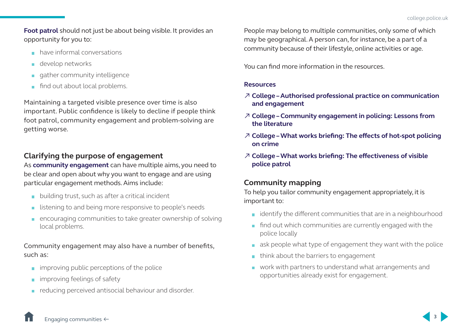<span id="page-4-0"></span>**[Foot patrol](http://whatworks.college.police.uk/Research/overview/Documents/WW_overview_Visible_patrol.pdf)** should not just be about being visible. It provides an opportunity for you to:

- **have informal conversations**
- **develop networks**
- $\Box$  gather community intelligence
- find out about local problems.

Maintaining a targeted visible presence over time is also important. Public confidence is likely to decline if people think foot patrol, community engagement and problem-solving are getting worse.

### **Clarifying the purpose of engagement**

As **[community engagement](http://whatworks.college.police.uk/Research/Documents/Community_engagement_lessons.pdf)** can have multiple aims, you need to be clear and open about why you want to engage and are using particular engagement methods. Aims include:

- **building trust, such as after a critical incident**
- **If** listening to and being more responsive to people's needs
- encouraging communities to take greater ownership of solving local problems.

Community engagement may also have a number of benefits, such as:

- improving public perceptions of the police
- **improving feelings of safety**
- **reducing perceived antisocial behaviour and disorder.**

People may belong to multiple communities, only some of which may be geographical. A person can, for instance, be a part of a community because of their lifestyle, online activities or age.

You can find more information in the resources.

### **Resources**

- ↗ **[College Authorised professional practice on communication](https://www.app.college.police.uk/app-content/engagement-and-communication/engaging-with-communities/)  [and engagement](https://www.app.college.police.uk/app-content/engagement-and-communication/engaging-with-communities/)**
- ↗ **College [Community engagement in policing: Lessons from](http://whatworks.college.police.uk/Research/Documents/Community_engagement_lessons.pdf)  [the literature](http://whatworks.college.police.uk/Research/Documents/Community_engagement_lessons.pdf)**
- ↗ **[College What works briefing: The effects of hot-spot policing](http://whatworks.college.police.uk/Research/Briefings/Documents/What%20works%20Hotspots%20final%20version%20Sep%202013.pdf)  [on crime](http://whatworks.college.police.uk/Research/Briefings/Documents/What%20works%20Hotspots%20final%20version%20Sep%202013.pdf)**
- ↗ **[College What works briefing: The effectiveness of visible](http://whatworks.college.police.uk/Research/overview/Documents/WW_overview_Visible_patrol.pdf)  [police patrol](http://whatworks.college.police.uk/Research/overview/Documents/WW_overview_Visible_patrol.pdf)**

### **Community mapping**

To help you tailor community engagement appropriately, it is important to:

- **i** identify the different communities that are in a neighbourhood
- **find out which communities are currently engaged with the** police locally
- $\Box$  ask people what type of engagement they want with the police
- $\blacksquare$  think about the barriers to engagement
- work with partners to understand what arrangements and opportunities already exist for engagement.

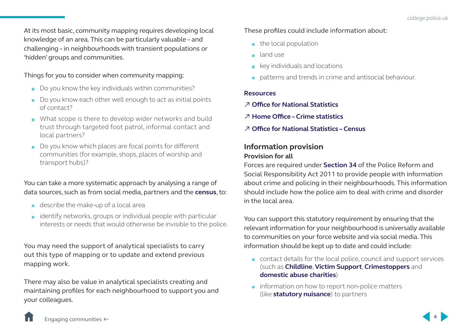<span id="page-5-0"></span>At its most basic, community mapping requires developing local knowledge of an area. This can be particularly valuable – and challenging – in neighbourhoods with transient populations or 'hidden' groups and communities.

Things for you to consider when community mapping:

- Do you know the key individuals within communities?
- Do you know each other well enough to act as initial points of contact?
- What scope is there to develop wider networks and build trust through targeted foot patrol, informal contact and local partners?
- Do you know which places are focal points for different communities (for example, shops, places of worship and transport hubs)?

### You can take a more systematic approach by analysing a range of data sources, such as from social media, partners and the **[census](https://www.ons.gov.uk/census)**, to:

- describe the make-up of a local area
- **i** identify networks, groups or individual people with particular interests or needs that would otherwise be invisible to the police.

You may need the support of analytical specialists to carry out this type of mapping or to update and extend previous mapping work.

There may also be value in analytical specialists creating and maintaining profiles for each neighbourhood to support you and your colleagues.

These profiles could include information about:

- $\blacksquare$  the local population
- **n** land use
- $\blacksquare$  key individuals and locations
- patterns and trends in crime and antisocial behaviour.

### **Resources**

- ↗ **[Office for National Statistics](https://www.ons.gov.uk/)**
- ↗ **[Home Office Crime statistics](https://www.gov.uk/government/collections/crime-statistics)**
- ↗ **[Office for National Statistics Census](https://www.ons.gov.uk/census)**

### **Information provision Provision for all**

Forces are required under **[Section 34](http://www.legislation.gov.uk/ukpga/2011/13/section/34/enacted)** of the Police Reform and Social Responsibility Act 2011 to provide people with information about crime and policing in their neighbourhoods. This information should include how the police aim to deal with crime and disorder in the local area.

You can support this statutory requirement by ensuring that the relevant information for your neighbourhood is universally available to communities on your force website and via social media. This information should be kept up to date and could include:

- contact details for the local police, council and support services (such as **[Childline](https://www.childline.org.uk/)**, **[Victim Support](https://www.victimsupport.org.uk/)**, **[Crimestoppers](https://crimestoppers-uk.org/)** and **[domestic abuse charities](https://www.gov.uk/report-domestic-abuse)**)
- $\blacksquare$  information on how to report non-police matters (like **[statutory nuisance](https://www.gov.uk/guidance/statutory-nuisances-how-councils-deal-with-complaints)**) to partners

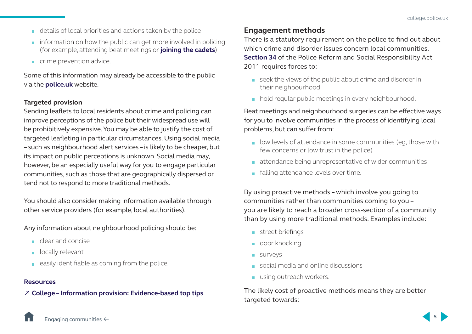- <span id="page-6-0"></span>details of local priorities and actions taken by the police
- $\blacksquare$  information on how the public can get more involved in policing (for example, attending beat meetings or **[joining the cadets](https://vpc.police.uk/)**)
- crime prevention advice.

Some of this information may already be accessible to the public via the **[police.uk](https://www.police.uk/)** website.

### **Targeted provision**

Sending leaflets to local residents about crime and policing can improve perceptions of the police but their widespread use will be prohibitively expensive. You may be able to justify the cost of targeted leafleting in particular circumstances. Using social media – such as neighbourhood alert services – is likely to be cheaper, but its impact on public perceptions is unknown. Social media may, however, be an especially useful way for you to engage particular communities, such as those that are geographically dispersed or tend not to respond to more traditional methods.

You should also consider making information available through other service providers (for example, local authorities).

Any information about neighbourhood policing should be:

- clear and concise
- **locally relevant**
- $\Box$  easily identifiable as coming from the police.

### **Resources**

↗ **Colleg[e – Information provision: Evidence-based top tips](https://polka.pnn.police.uk/en/Communities/Documents/?clubId=38&folder=Research/NPIA+Research&file=Information+prov+top+tips.pdf)**

### **Engagement methods**

There is a statutory requirement on the police to find out about which crime and disorder issues concern local communities. **[Section 34](http://www.legislation.gov.uk/ukpga/2011/13/section/34/enacted)** of the Police Reform and Social Responsibility Act 2011 requires forces to:

- seek the views of the public about crime and disorder in their neighbourhood
- hold regular public meetings in every neighbourhood.

Beat meetings and neighbourhood surgeries can be effective ways for you to involve communities in the process of identifying local problems, but can suffer from:

- **I** low levels of attendance in some communities (eg. those with few concerns or low trust in the police)
- attendance being unrepresentative of wider communities
- **falling attendance levels over time.**

By using proactive methods – which involve you going to communities rather than communities coming to you – you are likely to reach a broader cross-section of a community than by using more traditional methods. Examples include:

- street briefings
- **door knocking**
- **Surveys**
- social media and online discussions
- using outreach workers.

The likely cost of proactive methods means they are better targeted towards:

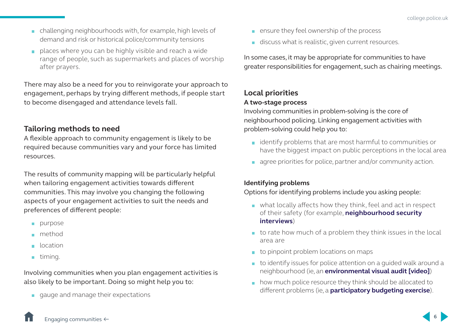- <span id="page-7-0"></span> challenging neighbourhoods with, for example, high levels of demand and risk or historical police/community tensions
- places where you can be highly visible and reach a wide range of people, such as supermarkets and places of worship after prayers.

There may also be a need for you to reinvigorate your approach to engagement, perhaps by trying different methods, if people start to become disengaged and attendance levels fall.

### **Tailoring methods to need**

A flexible approach to community engagement is likely to be required because communities vary and your force has limited resources.

The results of community mapping will be particularly helpful when tailoring engagement activities towards different communities. This may involve you changing the following aspects of your engagement activities to suit the needs and preferences of different people:

- purpose
- method
- **n** location
- $\blacksquare$  timing.

Involving communities when you plan engagement activities is also likely to be important. Doing so might help you to:

gauge and manage their expectations

- **EXECUTE:** ensure they feel ownership of the process
- discuss what is realistic, given current resources.

In some cases, it may be appropriate for communities to have greater responsibilities for engagement, such as chairing meetings.

### **Local priorities**

### **A two-stage process**

Involving communities in problem-solving is the core of neighbourhood policing. Linking engagement activities with problem-solving could help you to:

- $\blacksquare$  identify problems that are most harmful to communities or have the biggest impact on public perceptions in the local area
- agree priorities for police, partner and/or community action.

### **Identifying problems**

Options for identifying problems include you asking people:

- what locally affects how they think, feel and act in respect of their safety (for example, **[neighbourhood security](https://static1.squarespace.com/static/51b06364e4b02de2f57fd72e/t/525d472ce4b0e89bfe818f6e/1381844780124/i-nsi.pdf)  [interviews](https://static1.squarespace.com/static/51b06364e4b02de2f57fd72e/t/525d472ce4b0e89bfe818f6e/1381844780124/i-nsi.pdf)**)
- $\blacksquare$  to rate how much of a problem they think issues in the local area are
- $\blacksquare$  to pinpoint problem locations on maps
- $\blacksquare$  to identify issues for police attention on a quided walk around a neighbourhood (ie, an **[environmental visual audit \[video\]](https://www.youtube.com/watch?v=5KusKnEJnFg)**)
- how much police resource they think should be allocated to different problems (ie, a **[participatory budgeting exercise](https://www.gov.uk/government/publications/participatory-budgeting-in-england-final-report)**).

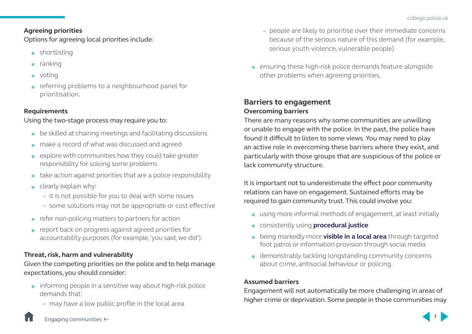### <span id="page-8-0"></span>**Agreeing priorities**

Options for agreeing local priorities include:

- **shortlisting**
- $\blacksquare$  ranking
- **n** voting
- referring problems to a neighbourhood panel for prioritisation.

### **Requirements**

### Using the two-stage process may require you to:

- **be skilled at chairing meetings and facilitating discussions**
- make a record of what was discussed and agreed
- $\blacksquare$  explore with communities how they could take greater responsibility for solving some problems
- $\blacksquare$  take action against priorities that are a police responsibility
- $\blacksquare$  clearly explain why:
	- it is not possible for you to deal with some issues
	- some solutions may not be appropriate or cost effective
- $\blacksquare$  refer non-policing matters to partners for action
- **report back on progress against agreed priorities for** accountability purposes (for example, 'you said, we did').

### **Threat, risk, harm and vulnerability**

Given the competing priorities on the police and to help manage expectations, you should consider:

- $\blacksquare$  informing people in a sensitive way about high-risk police demands that:
	- may have a low public profile in the local area
- people are likely to prioritise over their immediate concerns because of the serious nature of this demand (for example, serious youth violence, vulnerable people)
- **EXECUTE:** ensuring these high-risk police demands feature alongside other problems when agreeing priorities.

### **Barriers to engagement Overcoming barriers**

There are many reasons why some communities are unwilling or unable to engage with the police. In the past, the police have found it difficult to listen to some views. You may need to play an active role in overcoming these barriers where they exist, and particularly with those groups that are suspicious of the police or lack community structure.

It is important not to underestimate the effect poor community relations can have on engagement. Sustained efforts may be required to gain community trust. This could involve you:

- using more informal methods of engagement, at least initially
- consistently using **[procedural justice](https://www.youtube.com/watch?v=i8OgypRCEqY)**
- **EXT** being markedly more **[visible in a local area](http://whatworks.college.police.uk/Research/overview/Documents/WW_overview_Visible_patrol.pdf)** through targeted foot patrol or information provision through social media
- **demonstrably tackling longstanding community concerns** about crime, antisocial behaviour or policing.

### **Assumed barriers**

Engagement will not automatically be more challenging in areas of higher crime or deprivation. Some people in those communities may

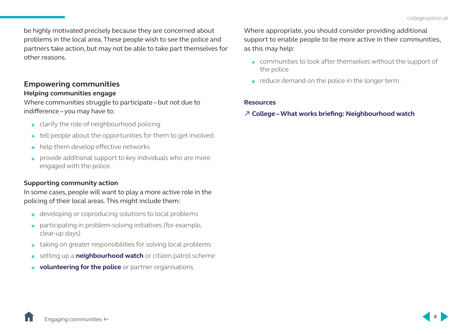<span id="page-9-0"></span>be highly motivated precisely because they are concerned about problems in the local area. These people wish to see the police and partners take action, but may not be able to take part themselves for other reasons.

### **Empowering communities Helping communities engage**

Where communities struggle to participate – but not due to indifference – you may have to:

- clarify the role of neighbourhood policing
- $\blacksquare$  tell people about the opportunities for them to get involved
- help them develop effective networks  $\mathcal{L}_{\mathcal{A}}$
- **provide additional support to key individuals who are more** engaged with the police.

### **Supporting community action**

In some cases, people will want to play a more active role in the policing of their local areas. This might include them:

- developing or coproducing solutions to local problems
- **participating in problem-solving initiatives (for example,** clear-up days)
- taking on greater responsibilities for solving local problems
- **EXECUTE:** setting up a **[neighbourhood watch](https://www.ourwatch.org.uk/)** or citizen patrol scheme
- **[volunteering for the police](https://www.citizensinpolicing.net/)** or partner organisations.

Where appropriate, you should consider providing additional support to enable people to be more active in their communities, as this may help:

- **communities to look after themselves without the support of** the police
- $\blacksquare$  reduce demand on the police in the longer term.

### **Resources**

### ↗ **[College – What works briefing: Neighbourhood watch](http://whatworks.college.police.uk/Research/Briefings/Documents/What%20works%20Neighbourhood%20watch%20final%20version%20Apr%202013.pdf)**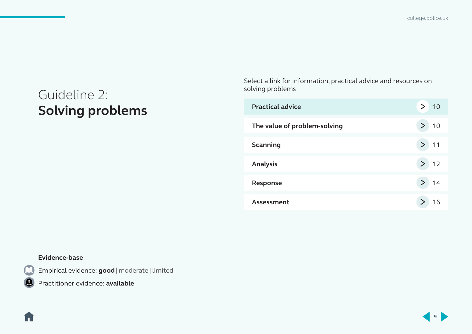## <span id="page-10-0"></span>Guideline 2: **Solving problems**

Select a link for information, practical advice and resources on solving problems

| <b>Practical advice</b>      | 10     |
|------------------------------|--------|
| The value of problem-solving | 10     |
| <b>Scanning</b>              | $>$ 11 |
| <b>Analysis</b>              | 12     |
| Response                     | 14     |
| Assessment                   | 16     |

### **Evidence-base**

17

Empirical evidence: **good** | moderate | limited

Practitioner evidence: **available**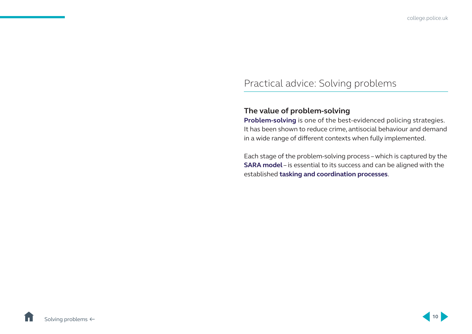### <span id="page-11-0"></span>Practical advice: Solving problems

### **The value of problem-solving**

**[Problem-solving](http://library.college.police.uk/docs/Problem-solving-for-neighbourhood-policing.pdf)** is one of the best-evidenced policing strategies. It has been shown to reduce crime, antisocial behaviour and demand in a wide range of different contexts when fully implemented.

Each stage of the problem-solving process – which is captured by the **[SARA model](http://www.popcenter.org/about/?p=sara)** – is essential to its success and can be aligned with the established **[tasking and coordination processes](https://www.app.college.police.uk/app-content/intelligence-management/governance/)**.

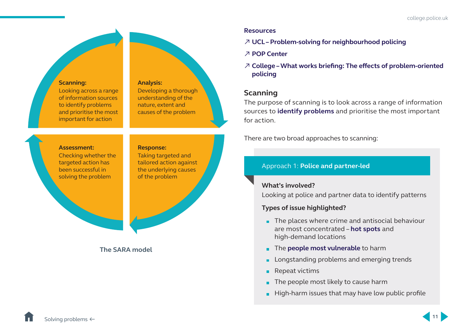<span id="page-12-0"></span>

### **Resources**

- ↗ **[UCL Problem-solving for neighbourhood policing](http://library.college.police.uk/docs/Problem-solving-for-neighbourhood-policing.pdf)**
- ↗ **[POP Center](http://www.popcenter.org/)**
- ↗ **[College What works briefing: The effects of problem-oriented](http://library.college.police.uk/docs/what-works/What-works-briefing-POP-2013.pdf)  [policing](http://library.college.police.uk/docs/what-works/What-works-briefing-POP-2013.pdf)**

### **Scanning**

The purpose of scanning is to look across a range of information sources to **[identify problems](http://www.popcenter.org/tools/PDFs/Identifying_Defining_Policing_Problems.pdf)** and prioritise the most important for action.

There are two broad approaches to scanning:

### Approach 1: **Police and partner-led**

### **What's involved?**

Looking at police and partner data to identify patterns

### **Types of issue highlighted?**

- $\blacksquare$  The places where crime and antisocial behaviour are most concentrated – **[hot spots](http://whatworks.college.police.uk/Research/Briefings/Documents/What%20works%20Hotspots%20final%20version%20Sep%202013.pdf)** and high-demand locations
- **The [people most vulnerable](http://www.college.police.uk/News/College-news/Pages/police_transformation_fund.aspx)** to harm
- Longstanding problems and emerging trends
- Repeat victims
- $\blacksquare$  The people most likely to cause harm
- $\blacksquare$  High-harm issues that may have low public profile

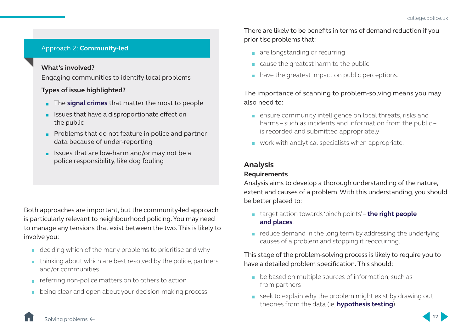### <span id="page-13-0"></span>Approach 2: **Community-led**

### **What's involved?**

Engaging communities to identify local problems

### **Types of issue highlighted?**

- **The [signal crimes](https://static1.squarespace.com/static/51b06364e4b02de2f57fd72e/t/58d10f5da5790a6c2448b9a8/1490095967722/UPSI+Signal+Crimes+Briefing.pdf)** that matter the most to people
- **In Issues that have a disproportionate effect on** the public
- **Problems that do not feature in police and partner** data because of under-reporting
- $\blacksquare$  Issues that are low-harm and/or may not be a police responsibility, like dog fouling

Both approaches are important, but the community-led approach is particularly relevant to neighbourhood policing. You may need to manage any tensions that exist between the two. This is likely to involve you:

- $\blacksquare$  deciding which of the many problems to prioritise and why
- $\blacksquare$  thinking about which are best resolved by the police, partners and/or communities
- $\blacksquare$  referring non-police matters on to others to action
- being clear and open about your decision-making process.

There are likely to be benefits in terms of demand reduction if you prioritise problems that:

- are longstanding or recurring
- cause the greatest harm to the public
- have the greatest impact on public perceptions.

The importance of scanning to problem-solving means you may also need to:

- **EXECTE ENDING** ensure community intelligence on local threats, risks and harms – such as incidents and information from the public – is recorded and submitted appropriately
- **work with analytical specialists when appropriate.**

### **Analysis**

### **Requirements**

Analysis aims to develop a thorough understanding of the nature, extent and causes of a problem. With this understanding, you should be better placed to:

- target action towards 'pinch points' **[the right people](http://whatworks.college.police.uk/Research/overview/Documents/People_and_places_how_resources_can_be_targeted.doc)  [and places](http://whatworks.college.police.uk/Research/overview/Documents/People_and_places_how_resources_can_be_targeted.doc)**.
- $\blacksquare$  reduce demand in the long term by addressing the underlying causes of a problem and stopping it reoccurring.

### This stage of the problem-solving process is likely to require you to have a detailed problem specification. This should:

- **be based on multiple sources of information, such as** from partners
- seek to explain why the problem might exist by drawing out theories from the data (ie, **[hypothesis testing](http://www.ucl.ac.uk/jdibrief/analysis/hypothesis-testing-crime-analysis)**)

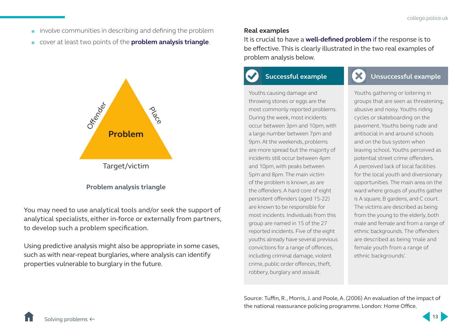- $\blacksquare$  involve communities in describing and defining the problem
- cover at least two points of the **[problem analysis triangle](http://www.popcenter.org/about/?p=triangle)**.



### **Problem analysis triangle**

You may need to use analytical tools and/or seek the support of analytical specialists, either in-force or externally from partners, to develop such a problem specification.

Using predictive analysis might also be appropriate in some cases, such as with near-repeat burglaries, where analysis can identify properties vulnerable to burglary in the future.

#### **Real examples**

It is crucial to have a **[well-defined problem](http://www.popcenter.org/tools/PDFs/Identifying_Defining_Policing_Problems.pdf)** if the response is to be effective. This is clearly illustrated in the two real examples of problem analysis below.

### **Successful example**



### **Unsuccessful example**

Youths causing damage and throwing stones or eggs are the most commonly reported problems. During the week, most incidents occur between 3pm and 10pm, with a large number between 7pm and 9pm. At the weekends, problems are more spread but the majority of incidents still occur between 4pm and 10pm, with peaks between 5pm and 8pm. The main victim of the problem is known, as are the offenders. A hard core of eight persistent offenders (aged 15-22) are known to be responsible for most incidents. Individuals from this group are named in 15 of the 27 reported incidents. Five of the eight youths already have several previous convictions for a range of offences, including criminal damage, violent crime, public order offences, theft, robbery, burglary and assault.

Youths gathering or loitering in groups that are seen as threatening, abusive and noisy. Youths riding cycles or skateboarding on the pavement. Youths being rude and antisocial in and around schools and on the bus system when leaving school. Youths perceived as potential street crime offenders. A perceived lack of local facilities for the local youth and diversionary opportunities. The main area on the ward where groups of youths gather is A square, B gardens, and C court. The victims are described as being from the young to the elderly, both male and female and from a range of ethnic backgrounds. The offenders are described as being 'male and female youth from a range of ethnic backgrounds'.

Source: Tuffin, R., Morris, J. and Poole, A. (2006) An evaluation of the impact of the national reassurance policing programme. London: Home Office.

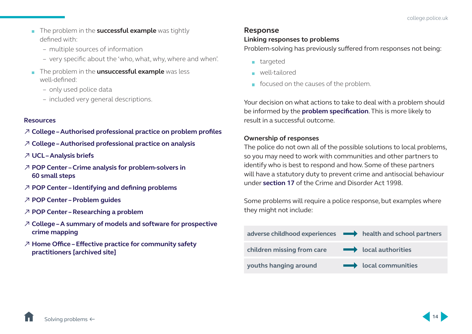- <span id="page-15-0"></span>**The problem in the successful example** was tightly defined with:
	- multiple sources of information
	- very specific about the 'who, what, why, where and when'.
- **The problem in the unsuccessful example** was less well-defined:
	- only used police data
	- included very general descriptions.

### **Resources**

- ↗ **[College Authorised professional practice on problem profiles](https://www.app.college.police.uk/app-content/intelligence-management/intelligence-products/#problem-profile)**
- ↗ **[College Authorised professional practice on analysis](https://www.app.college.police.uk/app-content/intelligence-management/analysis/)**
- ↗ **[UCL Analysis briefs](http://www.ucl.ac.uk/jdibrief/analysis)**
- ↗ **[POP Center Crime analysis for problem-solvers in](http://www.popcenter.org/learning/60steps/)  [60 small steps](http://www.popcenter.org/learning/60steps/)**
- ↗ **[POP Center Identifying and defining problems](http://www.popcenter.org/tools/PDFs/Identifying_Defining_Policing_Problems.pdf)**
- ↗ **[POP Center Problem guides](http://www.popcenter.org/problems/)**
- ↗ **[POP Center Researching a problem](http://www.popcenter.org/tools/pdfs/ResearchingProblem.pdf)**
- ↗ **[College A summary of models and software for prospective](https://polka.pnn.police.uk/en/Communities/Documents/?clubId=38&folder=Research/College+of+Policing+Research&file=150601_Predictive+policing+models+and+software_Summary+FINAL_PQ.pdf)  [crime mapping](https://polka.pnn.police.uk/en/Communities/Documents/?clubId=38&folder=Research/College+of+Policing+Research&file=150601_Predictive+policing+models+and+software_Summary+FINAL_PQ.pdf)**
- ↗ **[Home Office Effective practice for community safety](http://webarchive.nationalarchives.gov.uk/20130125093517tf_/http://www.homeoffice.gov.uk/crime/partnerships/effective-practice1/)  [practitioners \[archived site\]](http://webarchive.nationalarchives.gov.uk/20130125093517tf_/http://www.homeoffice.gov.uk/crime/partnerships/effective-practice1/)**

### **Response**

### **Linking responses to problems**

Problem-solving has previously suffered from responses not being:

- $\blacksquare$  targeted
- well-tailored
- focused on the causes of the problem.

Your decision on what actions to take to deal with a problem should be informed by the **[problem specification](http://www.popcenter.org/tools/PDFs/Identifying_Defining_Policing_Problems.pdf)**. This is more likely to result in a successful outcome.

### **Ownership of responses**

The police do not own all of the possible solutions to local problems, so you may need to work with communities and other partners to identify who is best to respond and how. Some of these partners will have a statutory duty to prevent crime and antisocial behaviour under **[section 17](https://www.legislation.gov.uk/ukpga/1998/37/section/17)** of the Crime and Disorder Act 1998.

Some problems will require a police response, but examples where they might not include:



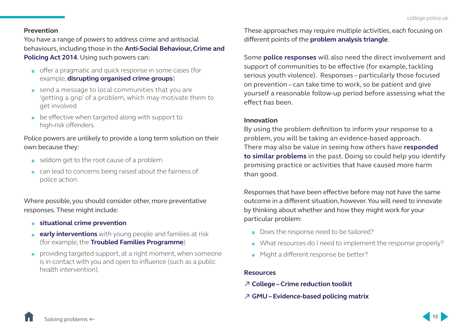### **Prevention**

You have a range of powers to address crime and antisocial behaviours, including those in the **[Anti-Social Behaviour, Crime and](http://www.legislation.gov.uk/ukpga/2014/12/contents)  [Policing Act 2014](http://www.legislation.gov.uk/ukpga/2014/12/contents)**. Using such powers can:

- offer a pragmatic and quick response in some cases (for example, **[disrupting organised crime groups](http://whatworks.college.police.uk/Research/Pages/Menu_of_Tactics.aspx)**)
- send a message to local communities that you are 'getting a grip' of a problem, which may motivate them to get involved
- **be effective when targeted along with support to** high-risk offenders.

Police powers are unlikely to provide a long term solution on their own because they:

- seldom get to the root cause of a problem
- can lead to concerns being raised about the fairness of police action.

Where possible, you should consider other, more preventative responses. These might include:

- **[situational crime prevention](http://www.popcenter.org/about/?p=situational)**
- **[early interventions](http://www.eif.org.uk/early-intervention-a-guide-for-frontline-police-officers-and-pcsos-3/)** with young people and families at risk (for example, the **[Troubled Families Programme](http://www.eif.org.uk/publication/functional-map-troubled-families-practitioners/)**)
- **providing targeted support, at a right moment, when someone** is in contact with you and open to influence (such as a public health intervention).

These approaches may require multiple activities, each focusing on different points of the **[problem analysis triangle](http://www.popcenter.org/about/?p=triangle)**.

Some **[police responses](http://www.popcenter.org/tools/pdfs/implementing_responses.pdf)** will also need the direct involvement and support of communities to be effective (for example, tackling serious youth violence). Responses – particularly those focused on prevention – can take time to work, so be patient and give yourself a reasonable follow-up period before assessing what the effect has been.

#### **Innovation**

By using the problem definition to inform your response to a problem, you will be taking an evidence-based approach. There may also be value in seeing how others have **[responded](http://whatworks.college.police.uk/toolkit/Pages/Toolkit.aspx)  [to similar problems](http://whatworks.college.police.uk/toolkit/Pages/Toolkit.aspx)** in the past. Doing so could help you identify promising practice or activities that have caused more harm than good.

Responses that have been effective before may not have the same outcome in a different situation, however. You will need to innovate by thinking about whether and how they might work for your particular problem:

- Does the response need to be tailored?
- What resources do I need to implement the response properly?
- Might a different response be better?

#### **Resources**

- ↗ **[College Crime reduction toolkit](http://whatworks.college.police.uk/toolkit/Pages/Toolkit.aspx)**
- ↗ **[GMU Evidence-based policing matrix](http://cebcp.org/evidence-based-policing/the-matrix/)**

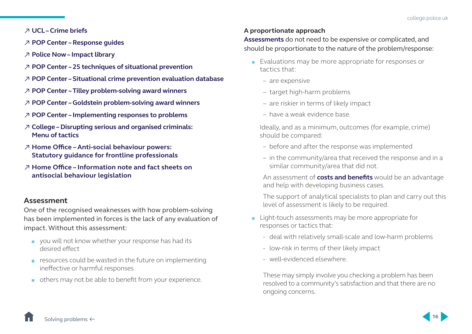### <span id="page-17-0"></span>↗ **[UCL – Crime briefs](http://www.ucl.ac.uk/jdibrief/crime)**

- ↗ **[POP Center Response guides](http://www.popcenter.org/responses/)**
- ↗ **[Police Now Impact library](https://www.policenow.org.uk/impact-library/)**
- ↗ **[POP Center 25 techniques of situational prevention](http://www.popcenter.org/25techniques/)**
- ↗ **[POP Center Situational crime prevention evaluation database](http://www.popcenter.org/library/scp/)**
- ↗ **[POP Center Tilley problem-solving award winners](http://www.popcenter.org/library/awards/tilley/)**
- ↗ **[POP Center Goldstein problem-solving award winners](http://www.popcenter.org/library/awards/goldstein/)**
- ↗ **[POP Center Implementing responses to problems](http://www.popcenter.org/tools/pdfs/implementing_responses.pdf)**
- ↗ **[College Disrupting serious and organised criminals:](http://whatworks.college.police.uk/Research/Pages/Menu_of_Tactics.aspx)  [Menu of tactics](http://whatworks.college.police.uk/Research/Pages/Menu_of_Tactics.aspx)**
- [↗](https://assets.publishing.service.gov.uk/government/uploads/system/uploads/attachment_data/file/679712/2017-12-13_ASB_Revised_Statutory_Guidance_V2.1_Final.pdf) **Home Office Anti-social behaviour powers: Statutory guidance for frontline professionals**
- [↗](https://www.gov.uk/government/publications/anti-social-behaviour-crime-and-policing-bill-anti-social-behaviour) **Home Office Information note and fact sheets on antisocial behaviour legislation**

### **Assessment**

One of the recognised weaknesses with how problem-solving has been implemented in forces is the lack of any evaluation of impact. Without this assessment:

- vou will not know whether your response has had its desired effect
- $\blacksquare$  resources could be wasted in the future on implementing ineffective or harmful responses
- others may not be able to benefit from your experience.

### **A proportionate approach**

**[Assessments](http://www.popcenter.org/tools/pdfs/Assessing-Responses-To-Problems.pdf)** do not need to be expensive or complicated, and should be proportionate to the nature of the problem/response:

- **Evaluations may be more appropriate for responses or** tactics that:
	- are expensive
	- target high-harm problems
	- are riskier in terms of likely impact
	- have a weak evidence base.

 Ideally, and as a minimum, outcomes (for example, crime) should be compared:

- before and after the response was implemented
- in the community/area that received the response and in a similar community/area that did not.

An assessment of **[costs and benefits](http://whatworks.college.police.uk/Research/Pages/Cost_Benefit_Tool.aspx)** would be an advantage and help with developing business cases.

The support of analytical specialists to plan and carry out this level of assessment is likely to be required.

- **Light-touch assessments may be more appropriate for** responses or tactics that:
	- deal with relatively small-scale and low-harm problems
	- low-risk in terms of their likely impact
	- well-evidenced elsewhere.

These may simply involve you checking a problem has been resolved to a community's satisfaction and that there are no ongoing concerns.

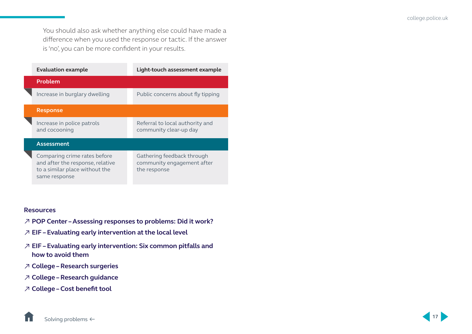You should also ask whether anything else could have made a difference when you used the response or tactic. If the answer is 'no', you can be more confident in your results.

| <b>Evaluation example</b>                                                                                           | Light-touch assessment example                                           |
|---------------------------------------------------------------------------------------------------------------------|--------------------------------------------------------------------------|
| Problem                                                                                                             |                                                                          |
| Increase in burglary dwelling                                                                                       | Public concerns about fly tipping                                        |
| <b>Response</b>                                                                                                     |                                                                          |
| Increase in police patrols<br>and cocooning                                                                         | Referral to local authority and<br>community clear-up day                |
| Assessment                                                                                                          |                                                                          |
| Comparing crime rates before<br>and after the response, relative<br>to a similar place without the<br>same response | Gathering feedback through<br>community engagement after<br>the response |

#### **Resources**

- ↗ **[POP Center Assessing responses to problems: Did it work?](http://www.popcenter.org/tools/pdfs/Assessing-Responses-To-Problems.pdf)**
- ↗ **[EIF Evaluating early intervention at the local level](http://www.eif.org.uk/evaluating-early-intervention-at-the-local-level/)**
- ↗ **[EIF Evaluating early intervention: Six common pitfalls and](http://www.eif.org.uk/publication/evaluating-early-intervention-programmes-six-common-pitfalls-and-how-to-avoid-them/)  [how to avoid them](http://www.eif.org.uk/publication/evaluating-early-intervention-programmes-six-common-pitfalls-and-how-to-avoid-them/)**
- ↗ **[College Research surgeries](http://whatworks.college.police.uk/Support/Pages/Research-Surgeries.aspx)**
- ↗ **[College Research guidance](http://whatworks.college.police.uk/Support/Pages/Research-guidance.aspx)**
- ↗ **[College Cost benefit tool](http://whatworks.college.police.uk/Research/Pages/Cost_Benefit_Tool.aspx)**

[Solving problems](#page-10-0) ←

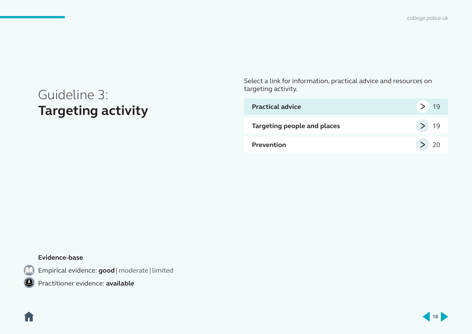[college.police.uk](http://www.college.police.uk/Pages/Home.aspx)

## <span id="page-19-0"></span>Guideline 3: **Targeting activity**

Select a link for information, practical advice and resources on targeting activity.

| <b>Practical advice</b>            | -19      |
|------------------------------------|----------|
| <b>Targeting people and places</b> | $>$   19 |
| <b>Prevention</b>                  | > 20     |

### **Evidence-base**

ſ.

Empirical evidence: **good** | moderate | limited

Practitioner evidence: **available**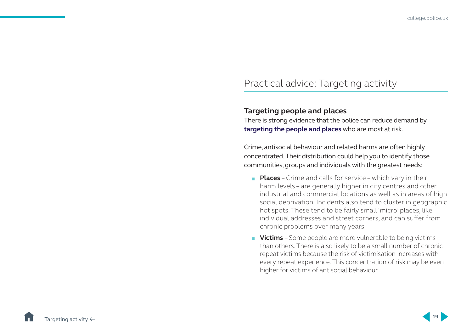### <span id="page-20-0"></span>Practical advice: Targeting activity

### **Targeting people and places**

There is strong evidence that the police can reduce demand by **[targeting the people and places](http://whatworks.college.police.uk/Research/overview/Documents/People_and_places_how_resources_can_be_targeted.doc)** who are most at risk.

Crime, antisocial behaviour and related harms are often highly concentrated. Their distribution could help you to identify those communities, groups and individuals with the greatest needs:

- **Places** Crime and calls for service which vary in their harm levels – are generally higher in city centres and other industrial and commercial locations as well as in areas of high social deprivation. Incidents also tend to cluster in geographic hot spots. These tend to be fairly small 'micro' places, like individual addresses and street corners, and can suffer from chronic problems over many years.
- **Victims** Some people are more vulnerable to being victims than others. There is also likely to be a small number of chronic repeat victims because the risk of victimisation increases with every repeat experience. This concentration of risk may be even higher for victims of antisocial behaviour.

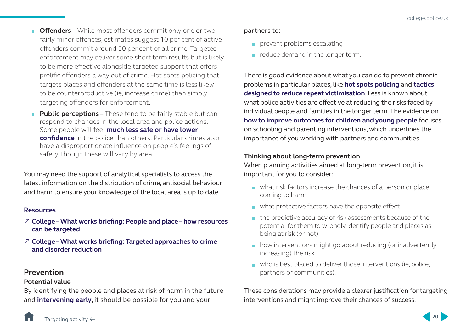- <span id="page-21-0"></span>**Cffenders** – While most offenders commit only one or two fairly minor offences, estimates suggest 10 per cent of active offenders commit around 50 per cent of all crime. Targeted enforcement may deliver some short term results but is likely to be more effective alongside targeted support that offers prolific offenders a way out of crime. Hot spots policing that targets places and offenders at the same time is less likely to be counterproductive (ie, increase crime) than simply targeting offenders for enforcement.
- **Public perceptions** These tend to be fairly stable but can respond to changes in the local area and police actions. Some people will feel **[much less safe or have lower](http://whatworks.college.police.uk/Research/Documents/Fair_cop_Full_Report.pdf)  [confidence](http://whatworks.college.police.uk/Research/Documents/Fair_cop_Full_Report.pdf)** in the police than others. Particular crimes also have a disproportionate influence on people's feelings of safety, though these will vary by area.

You may need the support of analytical specialists to access the latest information on the distribution of crime, antisocial behaviour and harm to ensure your knowledge of the local area is up to date.

#### **Resources**

- ↗ **[College What works briefing: People and place how resources](http://whatworks.college.police.uk/Research/overview/Documents/People_and_places_how_resources_can_be_targeted.doc)  [can be targeted](http://whatworks.college.police.uk/Research/overview/Documents/People_and_places_how_resources_can_be_targeted.doc)**
- ↗ **[College What works briefing: Targeted approaches to crime](http://whatworks.college.police.uk/Research/overview/Documents/Targeted_approaches_to_crime_and_disorder_reduction.doc)  [and disorder reduction](http://whatworks.college.police.uk/Research/overview/Documents/Targeted_approaches_to_crime_and_disorder_reduction.doc)**

### **Prevention**

### **Potential value**

By identifying the people and places at risk of harm in the future and **[intervening early](http://www.eif.org.uk/early-intervention-a-guide-for-frontline-police-officers-and-pcsos-3/)**, it should be possible for you and your

### partners to:

- prevent problems escalating
- $\blacksquare$  reduce demand in the longer term.

There is good evidence about what you can do to prevent chronic problems in particular places, like **[hot spots policing](http://whatworks.college.police.uk/Research/Briefings/Documents/What%20works%20Hotspots%20final%20version%20Sep%202013.pdf)** and **[tactics](https://www.bra.se/bra-in-english/home/publications/archive/publications/2012-06-11-preventing-repeat-victimization.html)  [designed to reduce repeat victimisation](https://www.bra.se/bra-in-english/home/publications/archive/publications/2012-06-11-preventing-repeat-victimization.html)**. Less is known about what police activities are effective at reducing the risks faced by individual people and families in the longer term. The evidence on **[how to improve outcomes for children and young people](http://guidebook.eif.org.uk/)** focuses on schooling and parenting interventions, which underlines the importance of you working with partners and communities.

### **Thinking about long-term prevention**

When planning activities aimed at long-term prevention, it is important for you to consider:

- what risk factors increase the chances of a person or place coming to harm
- what protective factors have the opposite effect
- the predictive accuracy of risk assessments because of the potential for them to wrongly identify people and places as being at risk (or not)
- **how interventions might go about reducing (or inadvertently** increasing) the risk
- who is best placed to deliver those interventions (ie, police, partners or communities).

These considerations may provide a clearer justification for targeting interventions and might improve their chances of success.

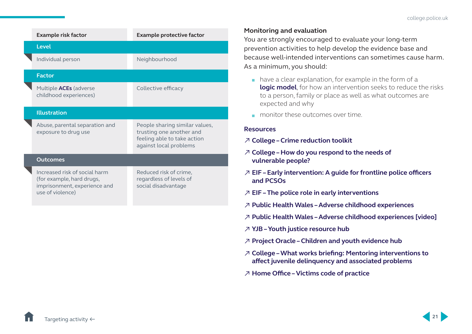| <b>Example risk factor</b>                                                                                     | <b>Example protective factor</b>                                                                                    |
|----------------------------------------------------------------------------------------------------------------|---------------------------------------------------------------------------------------------------------------------|
| <b>Level</b>                                                                                                   |                                                                                                                     |
| Individual person                                                                                              | Neighbourhood                                                                                                       |
| <b>Factor</b>                                                                                                  |                                                                                                                     |
| Multiple <b>ACEs</b> (adverse<br>childhood experiences)                                                        | Collective efficacy                                                                                                 |
| <b>Illustration</b>                                                                                            |                                                                                                                     |
| Abuse, parental separation and<br>exposure to drug use                                                         | People sharing similar values,<br>trusting one another and<br>feeling able to take action<br>against local problems |
| Outcomes                                                                                                       |                                                                                                                     |
| Increased risk of social harm<br>(for example, hard drugs,<br>imprisonment, experience and<br>use of violence) | Reduced risk of crime,<br>regardless of levels of<br>social disadvantage                                            |
|                                                                                                                |                                                                                                                     |

### **Monitoring and evaluation**

You are strongly encouraged to evaluate your long-term prevention activities to help develop the evidence base and because well-intended interventions can sometimes cause harm. As a minimum, you should:

- have a clear explanation, for example in the form of a **[logic model](http://whatworks.college.police.uk/Research/Documents/LogicModel.pdf)**, for how an intervention seeks to reduce the risks to a person, family or place as well as what outcomes are expected and why
- **n** monitor these outcomes over time.

#### **Resources**

- ↗ **[College Crime reduction toolkit](http://whatworks.college.police.uk/toolkit/Pages/Toolkit.aspx)**
- ↗ **[College](http://www.college.police.uk/News/College-news/Pages/police_transformation_fund.aspx) How do you respond to the needs of vulnerable people?**
- ↗ **[EIF Early intervention: A guide for frontline police officers](http://www.eif.org.uk/early-intervention-a-guide-for-frontline-police-officers-and-pcsos-3/)  [and PCSOs](http://www.eif.org.uk/early-intervention-a-guide-for-frontline-police-officers-and-pcsos-3/)**
- ↗ **[EIF The police role in early interventions](http://www.eif.org.uk/our-work-with-the-police/)**
- ↗ **[Public Health Wales Adverse childhood experiences](http://www.wales.nhs.uk/sitesplus/888/page/88524)**
- ↗ **[Public Health Wales Adverse childhood experiences \[video\]](http://www.aces.me.uk/in-wales/)**
- ↗ **[YJB Youth justice resource hub](https://yjresourcehub.uk/)**
- ↗ **[Project Oracle Children and youth evidence hub](https://project-oracle.com/)**
- ↗ **[College What works briefing: Mentoring interventions to](http://whatworks.college.police.uk/Research/Briefings/Documents/What%20works%20Mentoring%20final%20version%20Aug%202013.pdf)  [affect juvenile delinquency and associated problems](http://whatworks.college.police.uk/Research/Briefings/Documents/What%20works%20Mentoring%20final%20version%20Aug%202013.pdf)**
- [↗](https://www.gov.uk/government/publications/the-code-of-practice-for-victims-of-crime) **Home Office Victims code of practice**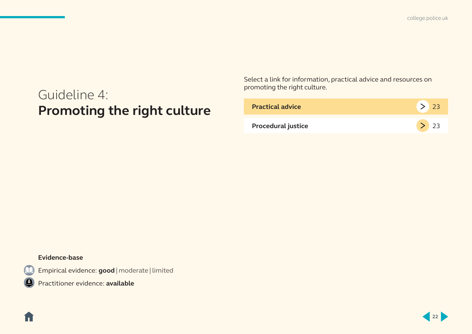[college.police.uk](http://www.college.police.uk/Pages/Home.aspx)

## <span id="page-23-0"></span>Guideline 4: **Promoting the right culture**

Select a link for information, practical advice and resources on promoting the right culture.

| <b>Practical advice</b>   | 23     |
|---------------------------|--------|
| <b>Procedural justice</b> | $>$ 23 |

### **Evidence-base**

Í T

Empirical evidence: **good** | moderate | limited

Practitioner evidence: **available**

**22**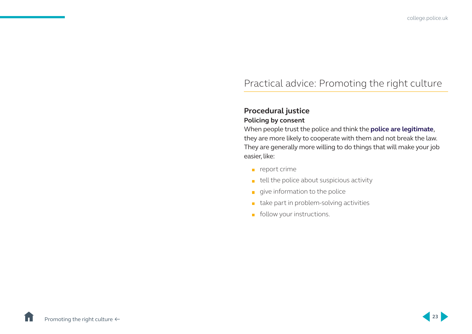### <span id="page-24-0"></span>Practical advice: Promoting the right culture

### **Procedural justice**

### **Policing by consent**

When people trust the police and think the **[police are legitimate](http://whatworks.college.police.uk/Research/Documents/Fair_cop_Full_Report.pdf)**, they are more likely to cooperate with them and not break the law. They are generally more willing to do things that will make your job easier, like:

- $\blacksquare$  report crime
- $\blacksquare$  tell the police about suspicious activity
- $\Box$  give information to the police
- take part in problem-solving activities
- **Follow your instructions.**

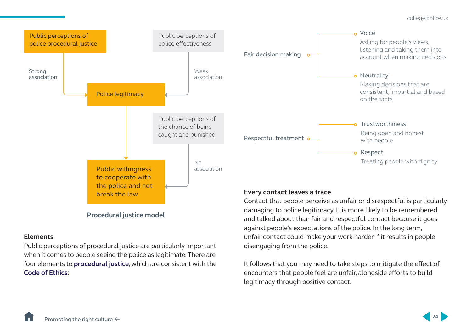

### **Procedural justice model**

break the law

### **Elements**

Public perceptions of procedural justice are particularly important when it comes to people seeing the police as legitimate. There are four elements to **[procedural justice](https://www.youtube.com/watch?v=i8OgypRCEqY)**, which are consistent with the **[Code of Ethics](http://www.college.police.uk/What-we-do/Ethics/Documents/Code_of_Ethics.pdf#search=code%20of%20ethics)**:

### **Every contact leaves a trace**

Contact that people perceive as unfair or disrespectful is particularly damaging to police legitimacy. It is more likely to be remembered and talked about than fair and respectful contact because it goes against people's expectations of the police. In the long term, unfair contact could make your work harder if it results in people disengaging from the police.

It follows that you may need to take steps to mitigate the effect of encounters that people feel are unfair, alongside efforts to build legitimacy through positive contact.

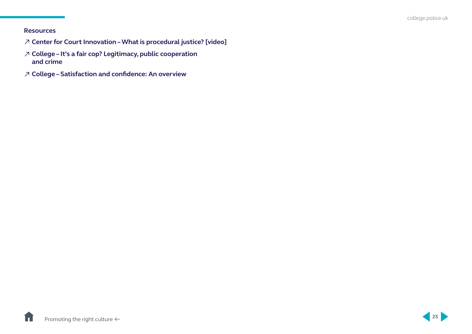### **Resources**

- ↗ **[Center for Court Innovation What is procedural justice? \[video\]](https://www.youtube.com/watch?v=i8OgypRCEqY)**
- ↗ **[College It's a fair cop? Legitimacy, public cooperation](http://whatworks.college.police.uk/Research/Documents/Fair_cop_Full_Report.pdf)  [and crime](http://whatworks.college.police.uk/Research/Documents/Fair_cop_Full_Report.pdf)**
- ↗ **[College Satisfaction and confidence: An overview](https://polka.pnn.police.uk/en/Communities/Documents/?clubId=38&folder=Research/What+Works+Guides&file=Satisfaction+and+Confidence+-+Evidence+Summary.ppt)**

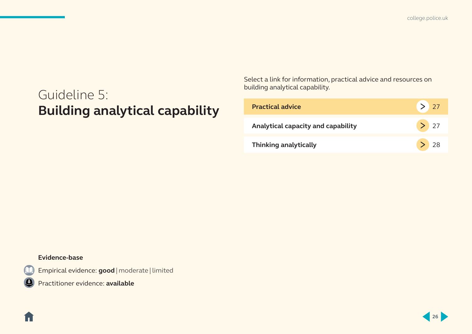[college.police.uk](http://www.college.police.uk/Pages/Home.aspx)

## <span id="page-27-0"></span>Guideline 5: **Building analytical capability**

Select a link for information, practical advice and resources on building analytical capability.

| <b>Practical advice</b>            | > 27      |
|------------------------------------|-----------|
| Analytical capacity and capability | $\geq$ 27 |
| <b>Thinking analytically</b>       | $>$ 28    |

### **Evidence-base**

Í T

Empirical evidence: **good** | moderate | limited

Practitioner evidence: **available**

**26**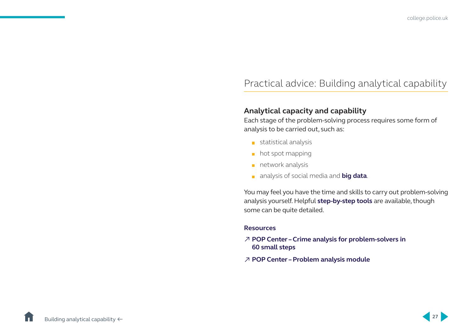### <span id="page-28-0"></span>Practical advice: Building analytical capability

### **Analytical capacity and capability**

Each stage of the problem-solving process requires some form of analysis to be carried out, such as:

- statistical analysis
- $\blacksquare$  hot spot mapping
- $n$  network analysis
- analysis of social media and **[big data](https://rusi.org/publication/occasional-papers/big-data-and-policing-assessment-law-enforcement-requirements)**.

You may feel you have the time and skills to carry out problem-solving analysis yourself. Helpful **s[tep-by-step tools](http://www.popcenter.org/learning/PAM/default.cfm)** are available, though some can be quite detailed.

#### **Resources**

- ↗ **[POP Center Crime analysis for problem-solvers in](http://www.popcenter.org/learning/60steps/)  [60 small steps](http://www.popcenter.org/learning/60steps/)**
- ↗ **[POP Center Problem analysis module](http://www.popcenter.org/learning/pam/)**

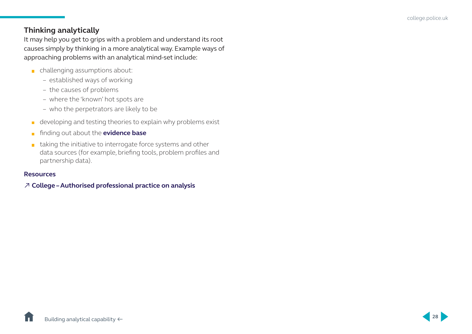### <span id="page-29-0"></span>**Thinking analytically**

It may help you get to grips with a problem and understand its root causes simply by thinking in a more analytical way. Example ways of approaching problems with an analytical mind-set include:

- challenging assumptions about:
	- established ways of working
	- the causes of problems
	- where the 'known' hot spots are
	- who the perpetrators are likely to be
- $\blacksquare$  developing and testing theories to explain why problems exist
- **finding out about the [evidence base](http://whatworks.college.police.uk/toolkit/Pages/Toolkit.aspx)**
- $\blacksquare$  taking the initiative to interrogate force systems and other data sources (for example, briefing tools, problem profiles and partnership data).

### **Resources**

### ↗ **[College – Authorised professional practice on analysis](https://www.app.college.police.uk/app-content/intelligence-management/analysis/)**



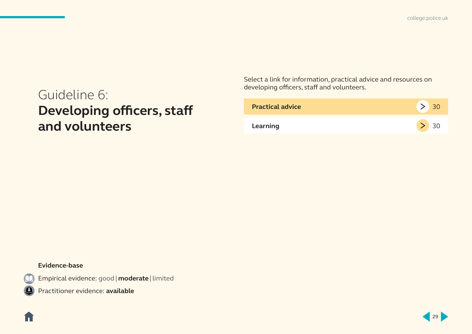[college.police.uk](http://www.college.police.uk/Pages/Home.aspx)

## <span id="page-30-0"></span>Guideline 6: **Developing officers, staff and volunteers**

Select a link for information, practical advice and resources on developing officers, staff and volunteers.

| <b>Practical advice</b> |  |
|-------------------------|--|
| Learning                |  |

### **Evidence-base**

1 -

Empirical evidence: good | **moderate** | limited

Practitioner evidence: **available**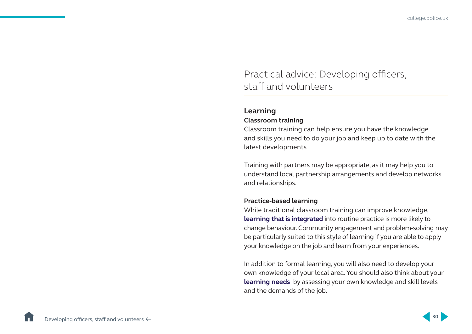### <span id="page-31-0"></span>Practical advice: Developing officers, staff and volunteers

### **Learning**

### **Classroom training**

Classroom training can help ensure you have the knowledge and skills you need to do your job and keep up to date with the latest developments

Training with partners may be appropriate, as it may help you to understand local partnership arrangements and develop networks and relationships.

### **Practice-based learning**

While traditional classroom training can improve knowledge, **[learning that is integrated](http://whatworks.college.police.uk/Research/Documents/What_Works_in_Training_and_Behaviour_change_REA.pdf)** into routine practice is more likely to change behaviour. Community engagement and problem-solving may be particularly suited to this style of learning if you are able to apply your knowledge on the job and learn from your experiences.

In addition to formal learning, you will also need to develop your own knowledge of your local area. You should also think about your **[learning needs](http://www.college.police.uk/What-we-do/Development/professional-development-programme/Pages/CPD_how_-_a_toolkit.aspx)** by assessing your own knowledge and skill levels and the demands of the job.

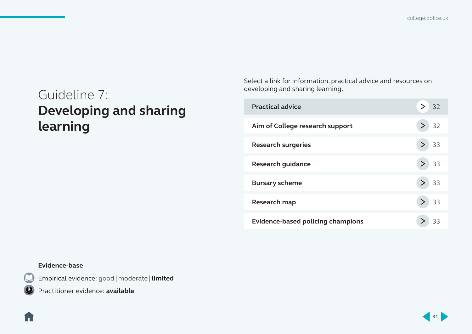[college.police.uk](http://www.college.police.uk/Pages/Home.aspx)

## <span id="page-32-0"></span>Guideline 7: **Developing and sharing learning**

Select a link for information, practical advice and resources on developing and sharing learning.

| <b>Practical advice</b>                  | 32 |
|------------------------------------------|----|
| Aim of College research support          | 32 |
| <b>Research surgeries</b>                | 33 |
| <b>Research guidance</b>                 | 33 |
| <b>Bursary scheme</b>                    | 33 |
| Research map                             | 33 |
| <b>Evidence-based policing champions</b> | 33 |

### **Evidence-base**

Empirical evidence: good | moderate | **limited**

ĺп.

Practitioner evidence: **available**

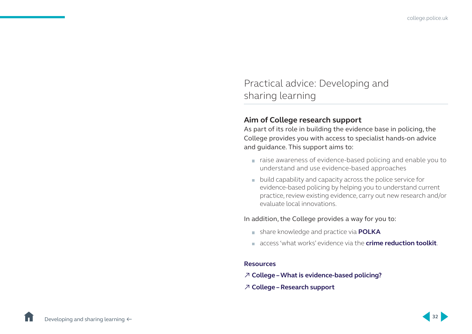### <span id="page-33-0"></span>Practical advice: Developing and sharing learning

### **Aim of College research support**

As part of its role in building the evidence base in policing, the College provides you with access to specialist hands-on advice and guidance. This support aims to:

- raise awareness of evidence-based policing and enable you to understand and use evidence-based approaches
- **DED** build capability and capacity across the police service for evidence-based policing by helping you to understand current practice, review existing evidence, carry out new research and/or evaluate local innovations.

### In addition, the College provides a way for you to:

- share knowledge and practice via **[POLKA](https://polka.pnn.police.uk/en/System/Not-Member/?returnUrl=https://polka.pnn.police.uk/)**
- access 'what works' evidence via the **[crime reduction toolkit](http://whatworks.college.police.uk/toolkit/Pages/Toolkit.aspx)**.

#### **Resources**

- ↗ **[College What is evidence-based policing?](http://whatworks.college.police.uk/About/Pages/What-is-EBP.aspx)**
- ↗ **[College Research support](http://whatworks.college.police.uk/Support/Pages/Support.aspx)**

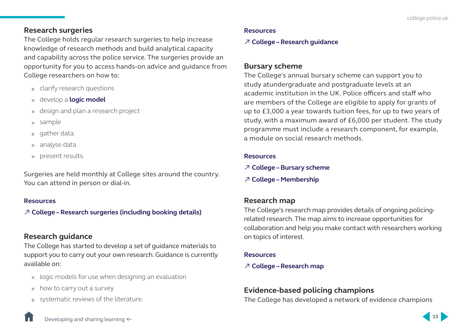### <span id="page-34-0"></span>**Research surgeries**

The College holds regular research surgeries to help increase knowledge of research methods and build analytical capacity and capability across the police service. The surgeries provide an opportunity for you to access hands-on advice and guidance from College researchers on how to:

- clarify research questions
- develop a **[logic model](http://whatworks.college.police.uk/Research/Documents/LogicModel.pdf)**
- design and plan a research project
- sample
- $\Box$  gather data
- analyse data
- present results.

Surgeries are held monthly at College sites around the country. You can attend in person or dial-in.

### **Resources**

↗ **[College – Research surgeries \(including booking details\)](http://whatworks.college.police.uk/Support/Pages/Research-Surgeries.aspx)**

### **Research guidance**

The College has started to develop a set of guidance materials to support you to carry out your own research. Guidance is currently available on:

- logic models for use when designing an evaluation
- $\blacksquare$  how to carry out a survey
- systematic reviews of the literature.

### **Resources**

### ↗ **[College – Research guidance](http://whatworks.college.police.uk/Support/Pages/Research-guidance.aspx)**

### **Bursary scheme**

The College's annual bursary scheme can support you to study atundergraduate and postgraduate levels at an academic institution in the UK. Police officers and staff who are members of the College are eligible to apply for grants of up to £3,000 a year towards tuition fees, for up to two years of study, with a maximum award of £6,000 per student. The study programme must include a research component, for example, a module on social research methods.

### **Resources**

- ↗ **[College Bursary scheme](http://whatworks.college.police.uk/Support/Pages/bursary.aspx)**
- ↗ **[College Membership](http://www.college.police.uk/Membership/Pages/default.aspx)**

### **Research map**

The College's research map provides details of ongoing policingrelated research. The map aims to increase opportunities for collaboration and help you make contact with researchers working on topics of interest.

### **Resources**

### ↗ **[College – Research map](http://whatworks.college.police.uk/Research/Research-Map/Pages/Research-Map.aspx)**

### **Evidence-based policing champions**

The College has developed a network of evidence champions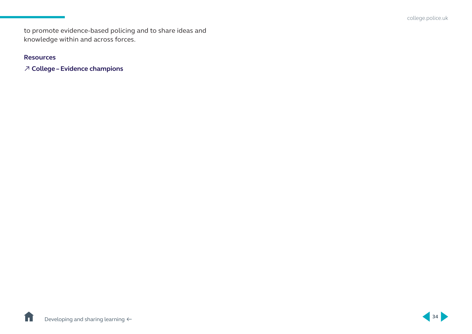to promote evidence-based policing and to share ideas and knowledge within and across forces.

### **Resources**

↗ **[College – Evidence champions](http://whatworks.college.police.uk/Support/Pages/epc.aspx)**